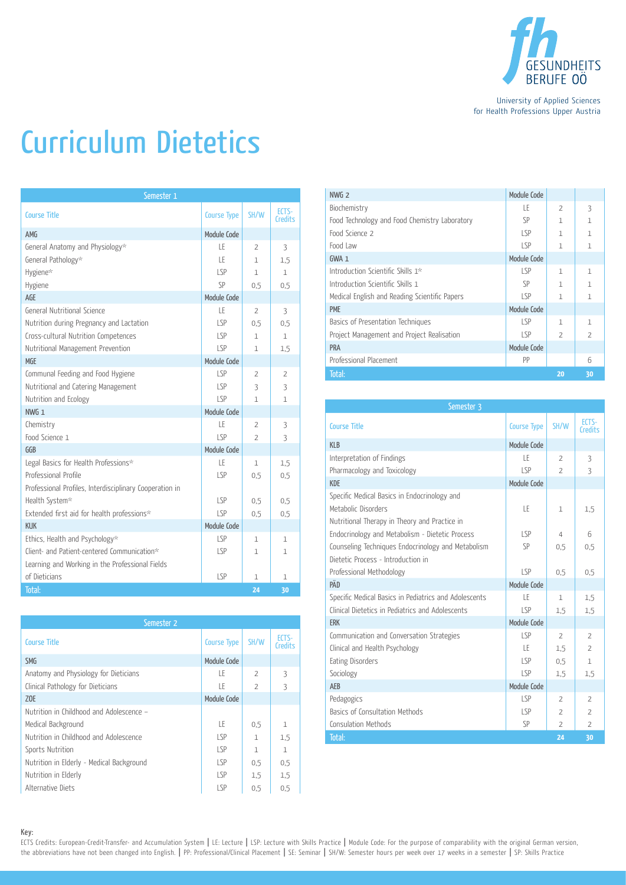

University of Applied Sciences for Health Professions Upper Austria

## Curriculum Dietetics

| Semester 1                                              |                    |                |                         |  |
|---------------------------------------------------------|--------------------|----------------|-------------------------|--|
| <b>Course Title</b>                                     | <b>Course Type</b> | SH/W           | ECTS-<br><b>Credits</b> |  |
| AMG                                                     | Module Code        |                |                         |  |
| General Anatomy and Physiology*                         | LE                 | $\overline{2}$ | 3                       |  |
| General Pathology*                                      | LE                 | 1              | 1.5                     |  |
| Hygiene*                                                | LSP                | $\mathbf{1}$   | $\mathbf{1}$            |  |
| Hygiene                                                 | SP                 | 0.5            | 0.5                     |  |
| AGE                                                     | Module Code        |                |                         |  |
| General Nutritional Science                             | LE                 | 2              | 3                       |  |
| Nutrition during Pregnancy and Lactation                | LSP                | 0.5            | 0.5                     |  |
| Cross-cultural Nutrition Competences                    | LSP                | $\mathbf{1}$   | $\mathbf{1}$            |  |
| Nutritional Management Prevention                       | LSP                | $\mathbf{1}$   | 1,5                     |  |
| MGE                                                     | Module Code        |                |                         |  |
| Communal Feeding and Food Hygiene                       | LSP                | $\overline{2}$ | $\overline{2}$          |  |
| Nutritional and Catering Management                     | LSP                | 3              | 3                       |  |
| Nutrition and Ecology                                   | LSP                | $\mathbf{1}$   | 1                       |  |
| NWG <sub>1</sub>                                        | Module Code        |                |                         |  |
| Chemistry                                               | LE                 | $\overline{2}$ | 3                       |  |
| Food Science 1                                          | SP                 | $\overline{2}$ | 3                       |  |
| GGB                                                     | Module Code        |                |                         |  |
| Legal Basics for Health Professions*                    | LE                 | $\mathbf{1}$   | 1,5                     |  |
| Professional Profile                                    | LSP                | 0.5            | 0,5                     |  |
| Professional Profiles, Interdisciplinary Cooperation in |                    |                |                         |  |
| Health System*                                          | LSP                | 0.5            | $0.5^{\circ}$           |  |
| Extended first aid for health professions*              | LSP                | 0,5            | 0,5                     |  |
| <b>KIIK</b>                                             | Module Code        |                |                         |  |
| Ethics, Health and Psychology*                          | LSP                | 1              | $\mathbf{1}$            |  |
| Client- and Patient-centered Communication*             | <b>LSP</b>         | 1              | 1                       |  |
| Learning and Working in the Professional Fields         |                    |                |                         |  |
| of Dieticians                                           | LSP                | $\mathbf{1}$   | 1                       |  |
| Total:                                                  |                    | 24             | 30                      |  |

| Semester 2                                |                    |                          |                         |  |
|-------------------------------------------|--------------------|--------------------------|-------------------------|--|
| <b>Course Title</b>                       | <b>Course Type</b> | SH/W                     | ECTS-<br><b>Credits</b> |  |
| <b>SMG</b>                                | Module Code        |                          |                         |  |
| Anatomy and Physiology for Dieticians     | LE                 | $\overline{\phantom{0}}$ | 3                       |  |
| Clinical Pathology for Dieticians         | LE                 | $\overline{2}$           | 3                       |  |
| Z <sub>OE</sub>                           | Module Code        |                          |                         |  |
| Nutrition in Childhood and Adolescence -  |                    |                          |                         |  |
| Medical Background                        | ΙE                 | 0,5                      | $\mathbf{1}$            |  |
| Nutrition in Childhood and Adolescence    | LSP                | $\mathbf{1}$             | 1,5                     |  |
| Sports Nutrition                          | LSP                | $\mathbf{1}$             | $\mathbf{1}$            |  |
| Nutrition in Elderly - Medical Background | LSP                | 0,5                      | 0.5                     |  |
| Nutrition in Elderly                      | LSP                | 1.5                      | 1.5                     |  |
| Alternative Diets                         | LSP                | 0.5                      | 0.5                     |  |

| NWG <sub>2</sub>                              | Module Code |                          |                          |
|-----------------------------------------------|-------------|--------------------------|--------------------------|
| Biochemistry                                  | LE          | $\overline{z}$           | 3                        |
| Food Technology and Food Chemistry Laboratory | SP          | 1                        | $\mathbf{1}$             |
| Food Science 2                                | LSP         | 1                        | 1                        |
| Food Law                                      | LSP         | 1                        | 1                        |
| $GWA_1$                                       | Module Code |                          |                          |
| Introduction Scientific Skills 1*             | LSP         | $\mathbf{1}$             | $\mathbf{1}$             |
| Introduction Scientific Skills 1              | SP          | 1                        | $\mathbf{1}$             |
| Medical English and Reading Scientific Papers | LSP         | 1                        | $\mathbf{1}$             |
| <b>PME</b>                                    | Module Code |                          |                          |
| Basics of Presentation Techniques             | LSP         | $\mathbf{1}$             | 1                        |
| Project Management and Project Realisation    | LSP         | $\overline{\phantom{a}}$ | $\overline{\phantom{a}}$ |
| PRA                                           | Module Code |                          |                          |
| Professional Placement                        | PP          |                          | 6                        |
| Total:                                        |             | 20                       | 30                       |

| Semester 3                                            |                    |                |                         |  |
|-------------------------------------------------------|--------------------|----------------|-------------------------|--|
| <b>Course Title</b>                                   | <b>Course Type</b> | SH/W           | ECTS-<br><b>Credits</b> |  |
| <b>KLB</b>                                            | Module Code        |                |                         |  |
| Interpretation of Findings                            | LE                 | $\overline{z}$ | 3                       |  |
| Pharmacology and Toxicology                           | SP                 | $\mathcal{P}$  | 3                       |  |
| <b>KDF</b>                                            | Module Code        |                |                         |  |
| Specific Medical Basics in Endocrinology and          |                    |                |                         |  |
| Metabolic Disorders                                   | LE                 | $\mathbf{1}$   | 1,5                     |  |
| Nutritional Therapy in Theory and Practice in         |                    |                |                         |  |
| Endocrinology and Metabolism - Dietetic Process       | LSP                | $\overline{4}$ | 6                       |  |
| Counseling Techniques Endocrinology and Metabolism    | SP                 | 0.5            | 0.5                     |  |
| Dietetic Process - Introduction in                    |                    |                |                         |  |
| Professional Methodology                              | LSP                | 0.5            | 0.5                     |  |
| PÄD                                                   | <b>Module Code</b> |                |                         |  |
| Specific Medical Basics in Pediatrics and Adolescents | LE                 | $\mathbf{1}$   | 1.5                     |  |
| Clinical Dietetics in Pediatrics and Adolescents      | LSP                | 1,5            | 1,5                     |  |
| <b>ERK</b>                                            | Module Code        |                |                         |  |
| Communication and Conversation Strategies             | LSP                | $\overline{2}$ | $\overline{2}$          |  |
| Clinical and Health Psychology                        | ΙF                 | 1.5            | $\overline{2}$          |  |
| Eating Disorders                                      | LSP                | 0.5            | $\mathbf 1$             |  |
| Sociology                                             | LSP                | 1.5            | 1,5                     |  |
| AEB                                                   | Module Code        |                |                         |  |
| Pedagogics                                            | LSP                | 2              | $\overline{2}$          |  |
| Basics of Consultation Methods                        | LSP                | $\overline{2}$ | $\overline{2}$          |  |
| Consulation Methods                                   | SP                 | 2              | $\overline{2}$          |  |
| Total:                                                |                    | 24             | 30                      |  |

Key:

ECTS Credits: European-Credit-Transfer- and Accumulation System | LE: Lecture | LSP: Lecture with Skills Practice | Module Code: For the purpose of comparability with the original German version, the abbreviations have not been changed into English. | PP: Professional/Clinical Placement | SE: Seminar | SH/W: Semester hours per week over 17 weeks in a semester | SP: Skills Practice